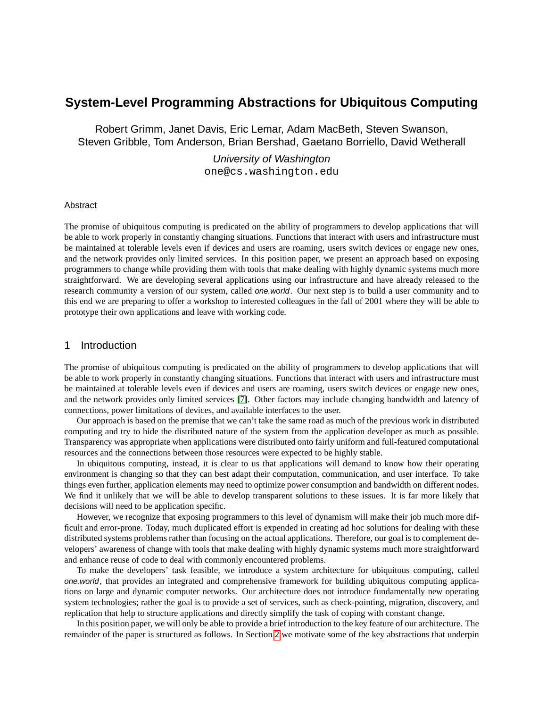# **System-Level Programming Abstractions for Ubiquitous Computing**

Robert Grimm, Janet Davis, Eric Lemar, Adam MacBeth, Steven Swanson, Steven Gribble, Tom Anderson, Brian Bershad, Gaetano Borriello, David Wetherall

# University of Washington

one@cs.washington.edu

#### Abstract

The promise of ubiquitous computing is predicated on the ability of programmers to develop applications that will be able to work properly in constantly changing situations. Functions that interact with users and infrastructure must be maintained at tolerable levels even if devices and users are roaming, users switch devices or engage new ones, and the network provides only limited services. In this position paper, we present an approach based on exposing programmers to change while providing them with tools that make dealing with highly dynamic systems much more straightforward. We are developing several applications using our infrastructure and have already released to the research community a version of our system, called *one.world*. Our next step is to build a user community and to this end we are preparing to offer a workshop to interested colleagues in the fall of 2001 where they will be able to prototype their own applications and leave with working code.

## 1 Introduction

The promise of ubiquitous computing is predicated on the ability of programmers to develop applications that will be able to work properly in constantly changing situations. Functions that interact with users and infrastructure must be maintained at tolerable levels even if devices and users are roaming, users switch devices or engage new ones, and the network provides only limited services [\[7\]](#page-3-0). Other factors may include changing bandwidth and latency of connections, power limitations of devices, and available interfaces to the user.

Our approach is based on the premise that we can't take the same road as much of the previous work in distributed computing and try to hide the distributed nature of the system from the application developer as much as possible. Transparency was appropriate when applications were distributed onto fairly uniform and full-featured computational resources and the connections between those resources were expected to be highly stable.

In ubiquitous computing, instead, it is clear to us that applications will demand to know how their operating environment is changing so that they can best adapt their computation, communication, and user interface. To take things even further, application elements may need to optimize power consumption and bandwidth on different nodes. We find it unlikely that we will be able to develop transparent solutions to these issues. It is far more likely that decisions will need to be application specific.

However, we recognize that exposing programmers to this level of dynamism will make their job much more difficult and error-prone. Today, much duplicated effort is expended in creating ad hoc solutions for dealing with these distributed systems problems rather than focusing on the actual applications. Therefore, our goal is to complement developers' awareness of change with tools that make dealing with highly dynamic systems much more straightforward and enhance reuse of code to deal with commonly encountered problems.

To make the developers' task feasible, we introduce a system architecture for ubiquitous computing, called one.world, that provides an integrated and comprehensive framework for building ubiquitous computing applications on large and dynamic computer networks. Our architecture does not introduce fundamentally new operating system technologies; rather the goal is to provide a set of services, such as check-pointing, migration, discovery, and replication that help to structure applications and directly simplify the task of coping with constant change.

In this position paper, we will only be able to provide a brief introduction to the key feature of our architecture. The remainder of the paper is structured as follows. In Section [2](#page-1-0) we motivate some of the key abstractions that underpin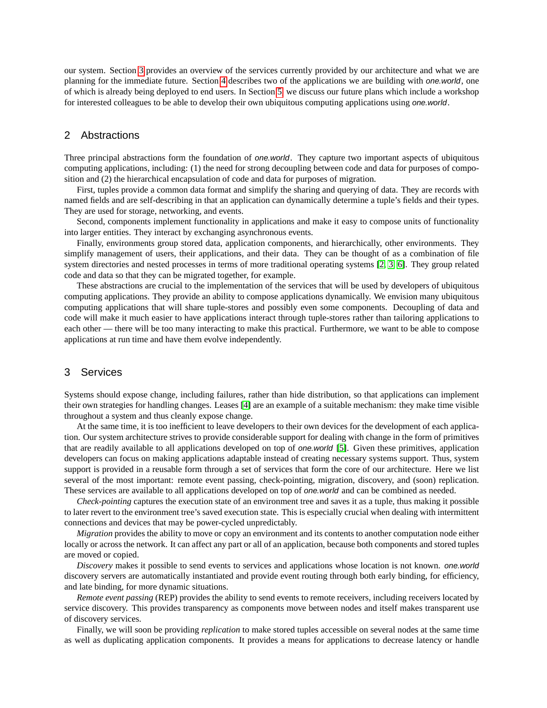our system. Section [3](#page-1-1) provides an overview of the services currently provided by our architecture and what we are planning for the immediate future. Section [4](#page-2-0) describes two of the applications we are building with one.world, one of which is already being deployed to end users. In Section [5,](#page-2-1) we discuss our future plans which include a workshop for interested colleagues to be able to develop their own ubiquitous computing applications using one.world.

### <span id="page-1-0"></span>2 Abstractions

Three principal abstractions form the foundation of one.world. They capture two important aspects of ubiquitous computing applications, including: (1) the need for strong decoupling between code and data for purposes of composition and (2) the hierarchical encapsulation of code and data for purposes of migration.

First, tuples provide a common data format and simplify the sharing and querying of data. They are records with named fields and are self-describing in that an application can dynamically determine a tuple's fields and their types. They are used for storage, networking, and events.

Second, components implement functionality in applications and make it easy to compose units of functionality into larger entities. They interact by exchanging asynchronous events.

Finally, environments group stored data, application components, and hierarchically, other environments. They simplify management of users, their applications, and their data. They can be thought of as a combination of file system directories and nested processes in terms of more traditional operating systems [\[2,](#page-2-2) [3,](#page-2-3) [6\]](#page-3-1). They group related code and data so that they can be migrated together, for example.

These abstractions are crucial to the implementation of the services that will be used by developers of ubiquitous computing applications. They provide an ability to compose applications dynamically. We envision many ubiquitous computing applications that will share tuple-stores and possibly even some components. Decoupling of data and code will make it much easier to have applications interact through tuple-stores rather than tailoring applications to each other — there will be too many interacting to make this practical. Furthermore, we want to be able to compose applications at run time and have them evolve independently.

#### <span id="page-1-1"></span>3 Services

Systems should expose change, including failures, rather than hide distribution, so that applications can implement their own strategies for handling changes. Leases [\[4\]](#page-2-4) are an example of a suitable mechanism: they make time visible throughout a system and thus cleanly expose change.

At the same time, it is too inefficient to leave developers to their own devices for the development of each application. Our system architecture strives to provide considerable support for dealing with change in the form of primitives that are readily available to all applications developed on top of one.world [\[5\]](#page-3-2). Given these primitives, application developers can focus on making applications adaptable instead of creating necessary systems support. Thus, system support is provided in a reusable form through a set of services that form the core of our architecture. Here we list several of the most important: remote event passing, check-pointing, migration, discovery, and (soon) replication. These services are available to all applications developed on top of one.world and can be combined as needed.

*Check-pointing* captures the execution state of an environment tree and saves it as a tuple, thus making it possible to later revert to the environment tree's saved execution state. This is especially crucial when dealing with intermittent connections and devices that may be power-cycled unpredictably.

*Migration* provides the ability to move or copy an environment and its contents to another computation node either locally or across the network. It can affect any part or all of an application, because both components and stored tuples are moved or copied.

*Discovery* makes it possible to send events to services and applications whose location is not known. one.world discovery servers are automatically instantiated and provide event routing through both early binding, for efficiency, and late binding, for more dynamic situations.

*Remote event passing* (REP) provides the ability to send events to remote receivers, including receivers located by service discovery. This provides transparency as components move between nodes and itself makes transparent use of discovery services.

Finally, we will soon be providing *replication* to make stored tuples accessible on several nodes at the same time as well as duplicating application components. It provides a means for applications to decrease latency or handle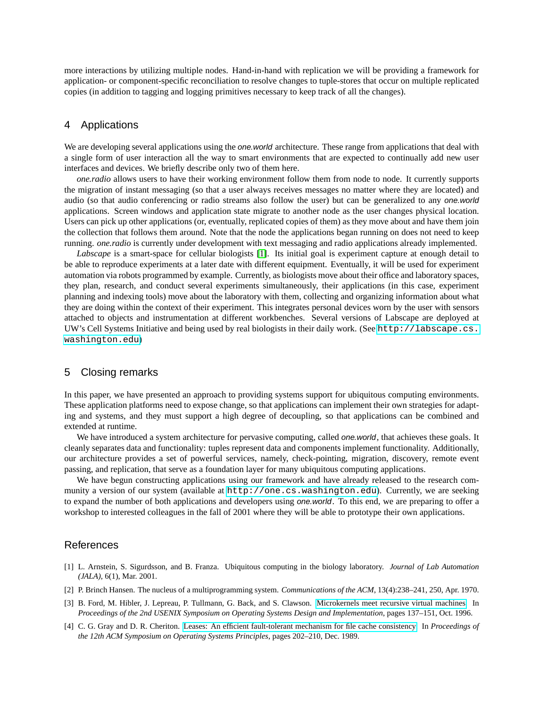more interactions by utilizing multiple nodes. Hand-in-hand with replication we will be providing a framework for application- or component-specific reconciliation to resolve changes to tuple-stores that occur on multiple replicated copies (in addition to tagging and logging primitives necessary to keep track of all the changes).

## <span id="page-2-0"></span>4 Applications

We are developing several applications using the *one.world* architecture. These range from applications that deal with a single form of user interaction all the way to smart environments that are expected to continually add new user interfaces and devices. We briefly describe only two of them here.

*one.radio* allows users to have their working environment follow them from node to node. It currently supports the migration of instant messaging (so that a user always receives messages no matter where they are located) and audio (so that audio conferencing or radio streams also follow the user) but can be generalized to any one.world applications. Screen windows and application state migrate to another node as the user changes physical location. Users can pick up other applications (or, eventually, replicated copies of them) as they move about and have them join the collection that follows them around. Note that the node the applications began running on does not need to keep running. *one.radio* is currently under development with text messaging and radio applications already implemented.

*Labscape* is a smart-space for cellular biologists [\[1\]](#page-2-5). Its initial goal is experiment capture at enough detail to be able to reproduce experiments at a later date with different equipment. Eventually, it will be used for experiment automation via robots programmed by example. Currently, as biologists move about their office and laboratory spaces, they plan, research, and conduct several experiments simultaneously, their applications (in this case, experiment planning and indexing tools) move about the laboratory with them, collecting and organizing information about what they are doing within the context of their experiment. This integrates personal devices worn by the user with sensors attached to objects and instrumentation at different workbenches. Several versions of Labscape are deployed at UW's Cell Systems Initiative and being used by real biologists in their daily work. (See [http://labscape.cs.](http://labscape.cs.washington.edu) [washington.edu](http://labscape.cs.washington.edu))

## <span id="page-2-1"></span>5 Closing remarks

In this paper, we have presented an approach to providing systems support for ubiquitous computing environments. These application platforms need to expose change, so that applications can implement their own strategies for adapting and systems, and they must support a high degree of decoupling, so that applications can be combined and extended at runtime.

We have introduced a system architecture for pervasive computing, called one.world, that achieves these goals. It cleanly separates data and functionality: tuples represent data and components implement functionality. Additionally, our architecture provides a set of powerful services, namely, check-pointing, migration, discovery, remote event passing, and replication, that serve as a foundation layer for many ubiquitous computing applications.

We have begun constructing applications using our framework and have already released to the research community a version of our system (available at <http://one.cs.washington.edu>). Currently, we are seeking to expand the number of both applications and developers using *one.world*. To this end, we are preparing to offer a workshop to interested colleagues in the fall of 2001 where they will be able to prototype their own applications.

# **References**

- <span id="page-2-5"></span>[1] L. Arnstein, S. Sigurdsson, and B. Franza. Ubiquitous computing in the biology laboratory. *Journal of Lab Automation (JALA)*, 6(1), Mar. 2001.
- <span id="page-2-2"></span>[2] P. Brinch Hansen. The nucleus of a multiprogramming system. *Communications of the ACM*, 13(4):238–241, 250, Apr. 1970.
- <span id="page-2-3"></span>[3] B. Ford, M. Hibler, J. Lepreau, P. Tullmann, G. Back, and S. Clawson. [Microkernels meet recursive virtual machines.](http://www.usenix.org/publications/library/proceedings/osdi96/full_papers/hibler/hibler.ps) In *Proceedings of the 2nd USENIX Symposium on Operating Systems Design and Implementation*, pages 137–151, Oct. 1996.
- <span id="page-2-4"></span>[4] C. G. Gray and D. R. Cheriton. [Leases: An efficient fault-tolerant mechanism for file cache consistency.](http://www.acm.org/pubs/articles/proceedings/ops/74850/p202-gray/p202-gray.pdf) In *Proceedings of the 12th ACM Symposium on Operating Systems Principles*, pages 202–210, Dec. 1989.